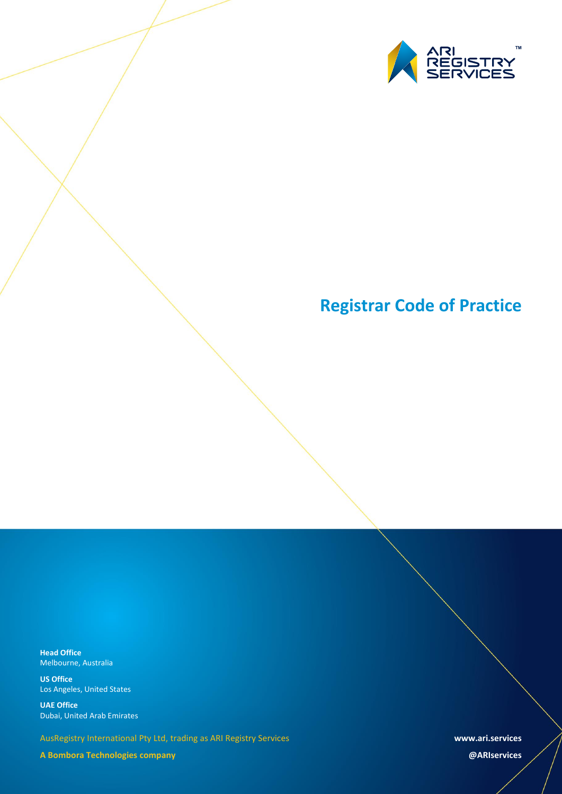

# **Registrar Code of Practice**

**Head Office** Melbourne, Australia

**US Office** Los Angeles, United States

**UAE Office** Dubai, United Arab Emirates

AusRegistry International Pty Ltd, trading as ARI Registry Services

**A Bombora Technologies company**

**www.ari.services**

**@ARIservices**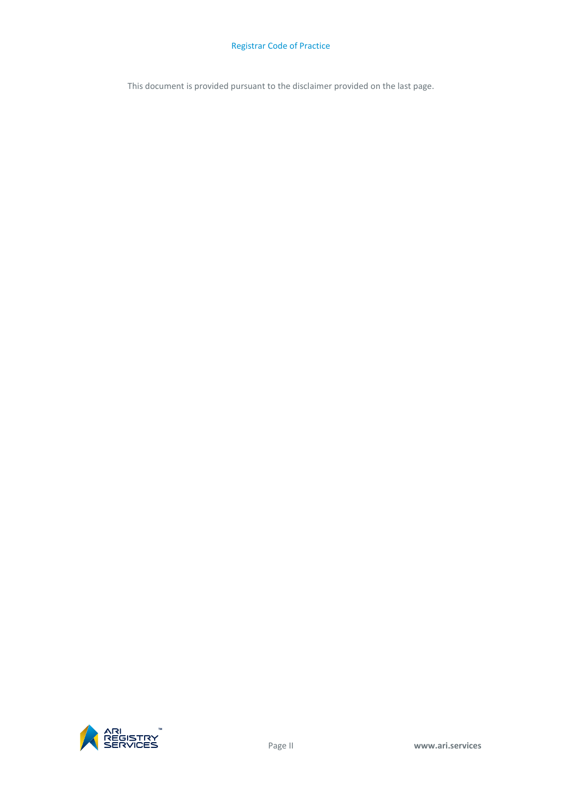## Registrar Code of Practice

This document is provided pursuant to the disclaimer provided on the last page.

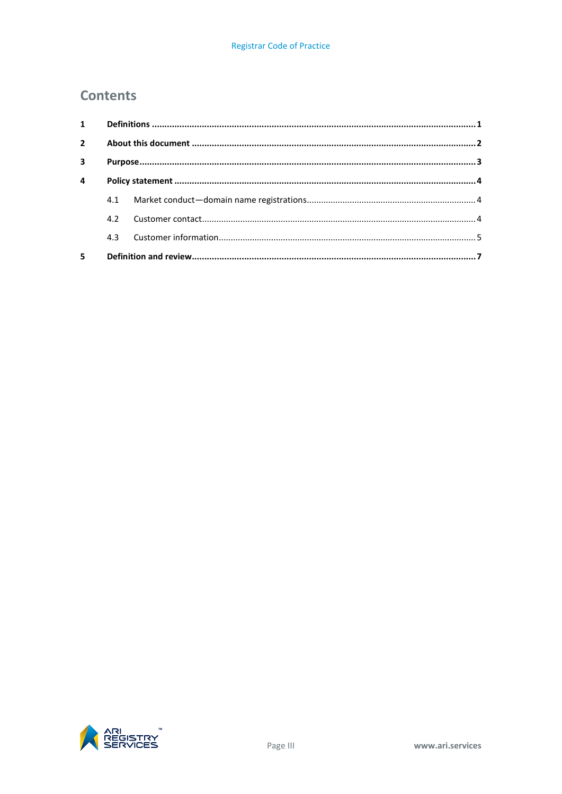## **Contents**

| $\mathbf{1}$            |     |  |  |
|-------------------------|-----|--|--|
| $\overline{2}$          |     |  |  |
| $\overline{\mathbf{3}}$ |     |  |  |
| $\overline{a}$          |     |  |  |
|                         | 4.1 |  |  |
|                         | 4.2 |  |  |
|                         | 4.3 |  |  |
| 5                       |     |  |  |

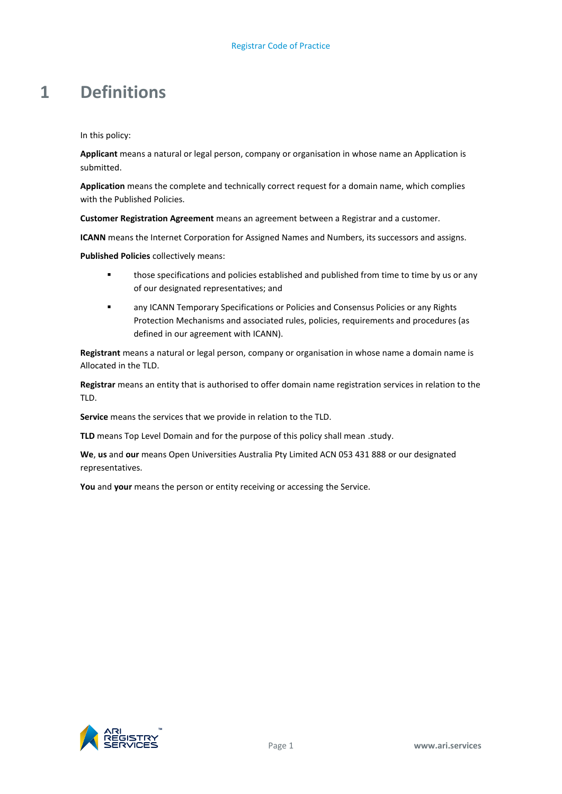## <span id="page-4-0"></span>**1 Definitions**

In this policy:

**Applicant** means a natural or legal person, company or organisation in whose name an Application is submitted.

**Application** means the complete and technically correct request for a domain name, which complies with the Published Policies.

**Customer Registration Agreement** means an agreement between a Registrar and a customer.

**ICANN** means the Internet Corporation for Assigned Names and Numbers, its successors and assigns.

**Published Policies** collectively means:

- **those specifications and policies established and published from time to time by us or any** of our designated representatives; and
- any ICANN Temporary Specifications or Policies and Consensus Policies or any Rights Protection Mechanisms and associated rules, policies, requirements and procedures (as defined in our agreement with ICANN).

**Registrant** means a natural or legal person, company or organisation in whose name a domain name is Allocated in the TLD.

**Registrar** means an entity that is authorised to offer domain name registration services in relation to the TLD.

**Service** means the services that we provide in relation to the TLD.

TLD means Top Level Domain and for the purpose of this policy shall mean .study.

**We**, **us** and **our** means Open Universities Australia Pty Limited ACN 053 431 888 or our designated representatives.

**You** and **your** means the person or entity receiving or accessing the Service.

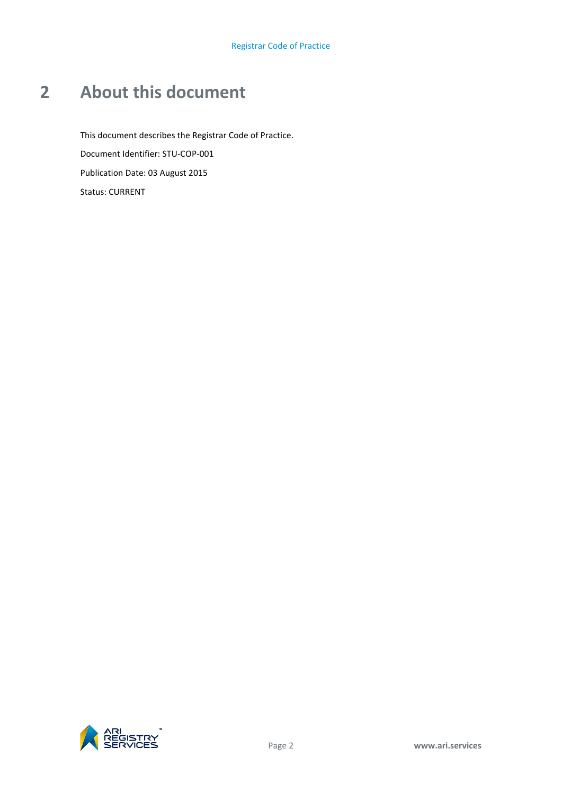# <span id="page-5-0"></span>**2 About this document**

This document describes the Registrar Code of Practice. Document Identifier: STU-COP-001 Publication Date: 03 August 2015 Status: CURRENT

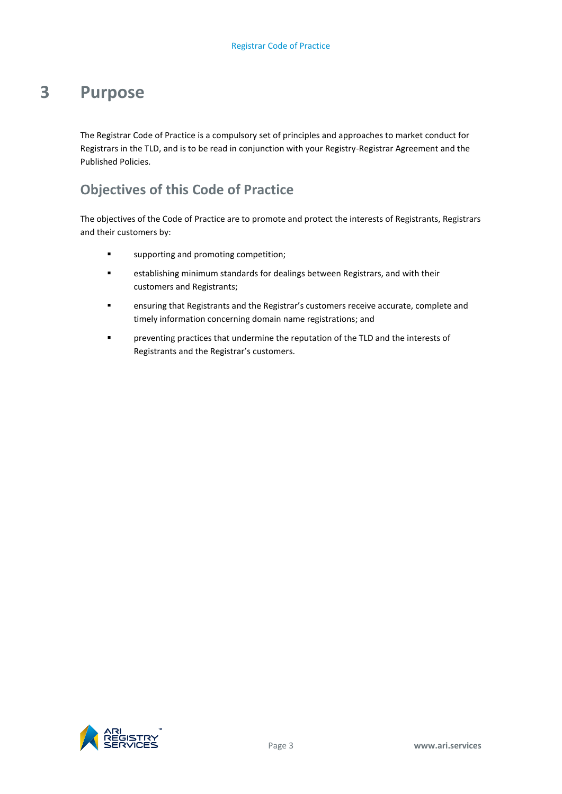## <span id="page-6-0"></span>**3 Purpose**

The Registrar Code of Practice is a compulsory set of principles and approaches to market conduct for Registrars in the TLD, and is to be read in conjunction with your Registry-Registrar Agreement and the Published Policies.

## **Objectives of this Code of Practice**

The objectives of the Code of Practice are to promote and protect the interests of Registrants, Registrars and their customers by:

- **supporting and promoting competition;**
- establishing minimum standards for dealings between Registrars, and with their customers and Registrants;
- ensuring that Registrants and the Registrar's customers receive accurate, complete and timely information concerning domain name registrations; and
- preventing practices that undermine the reputation of the TLD and the interests of Registrants and the Registrar's customers.

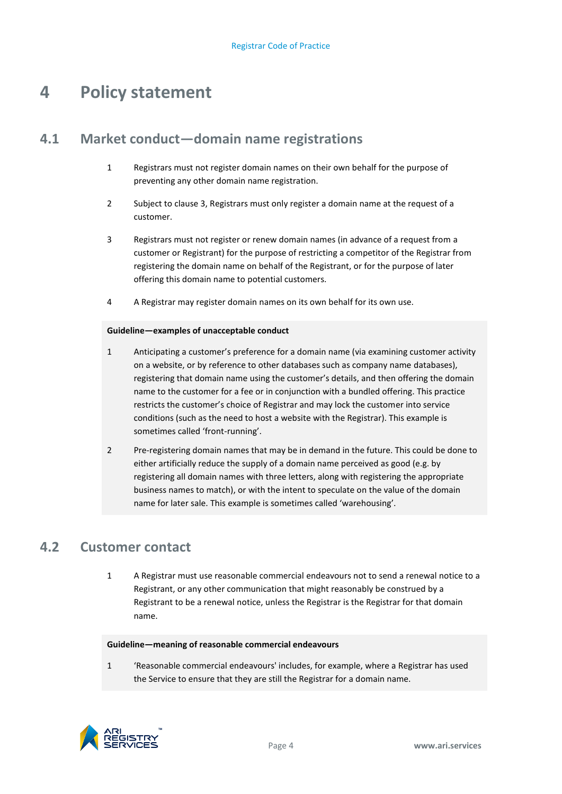# <span id="page-7-0"></span>**4 Policy statement**

## <span id="page-7-1"></span>**4.1 Market conduct—domain name registrations**

- 1 Registrars must not register domain names on their own behalf for the purpose of preventing any other domain name registration.
- 2 Subject to claus[e 3,](#page-7-3) Registrars must only register a domain name at the request of a customer.
- 3 Registrars must not register or renew domain names (in advance of a request from a customer or Registrant) for the purpose of restricting a competitor of the Registrar from registering the domain name on behalf of the Registrant, or for the purpose of later offering this domain name to potential customers.
- <span id="page-7-3"></span>4 A Registrar may register domain names on its own behalf for its own use.

## **Guideline—examples of unacceptable conduct**

- 1 Anticipating a customer's preference for a domain name (via examining customer activity on a website, or by reference to other databases such as company name databases), registering that domain name using the customer's details, and then offering the domain name to the customer for a fee or in conjunction with a bundled offering. This practice restricts the customer's choice of Registrar and may lock the customer into service conditions (such as the need to host a website with the Registrar). This example is sometimes called 'front-running'.
- 2 Pre-registering domain names that may be in demand in the future. This could be done to either artificially reduce the supply of a domain name perceived as good (e.g. by registering all domain names with three letters, along with registering the appropriate business names to match), or with the intent to speculate on the value of the domain name for later sale. This example is sometimes called 'warehousing'.

## <span id="page-7-2"></span>**4.2 Customer contact**

1 A Registrar must use reasonable commercial endeavours not to send a renewal notice to a Registrant, or any other communication that might reasonably be construed by a Registrant to be a renewal notice, unless the Registrar is the Registrar for that domain name.

### **Guideline—meaning of reasonable commercial endeavours**

1 'Reasonable commercial endeavours' includes, for example, where a Registrar has used the Service to ensure that they are still the Registrar for a domain name.

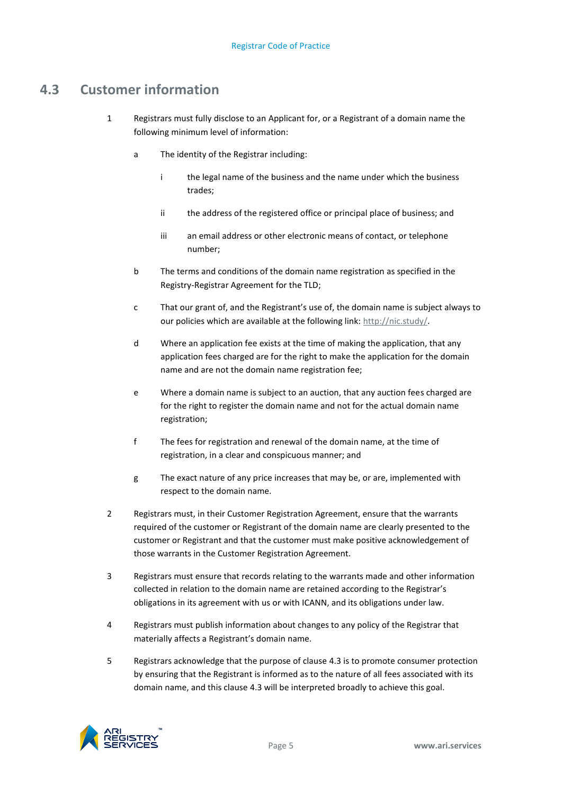## <span id="page-8-0"></span>**4.3 Customer information**

- 1 Registrars must fully disclose to an Applicant for, or a Registrant of a domain name the following minimum level of information:
	- a The identity of the Registrar including:
		- i the legal name of the business and the name under which the business trades;
		- ii the address of the registered office or principal place of business; and
		- iii an email address or other electronic means of contact, or telephone number;
	- b The terms and conditions of the domain name registration as specified in the Registry-Registrar Agreement for the TLD;
	- c That our grant of, and the Registrant's use of, the domain name is subject always to our policies which are available at the following link: [http://nic.study/.](http://nic.study/)
	- d Where an application fee exists at the time of making the application, that any application fees charged are for the right to make the application for the domain name and are not the domain name registration fee;
	- e Where a domain name is subject to an auction, that any auction fees charged are for the right to register the domain name and not for the actual domain name registration;
	- f The fees for registration and renewal of the domain name, at the time of registration, in a clear and conspicuous manner; and
	- g The exact nature of any price increases that may be, or are, implemented with respect to the domain name.
- 2 Registrars must, in their Customer Registration Agreement, ensure that the warrants required of the customer or Registrant of the domain name are clearly presented to the customer or Registrant and that the customer must make positive acknowledgement of those warrants in the Customer Registration Agreement.
- 3 Registrars must ensure that records relating to the warrants made and other information collected in relation to the domain name are retained according to the Registrar's obligations in its agreement with us or with ICANN, and its obligations under law.
- 4 Registrars must publish information about changes to any policy of the Registrar that materially affects a Registrant's domain name.
- 5 Registrars acknowledge that the purpose of clause [4.3](#page-8-0) is to promote consumer protection by ensuring that the Registrant is informed as to the nature of all fees associated with its domain name, and this clause [4.3](#page-8-0) will be interpreted broadly to achieve this goal.

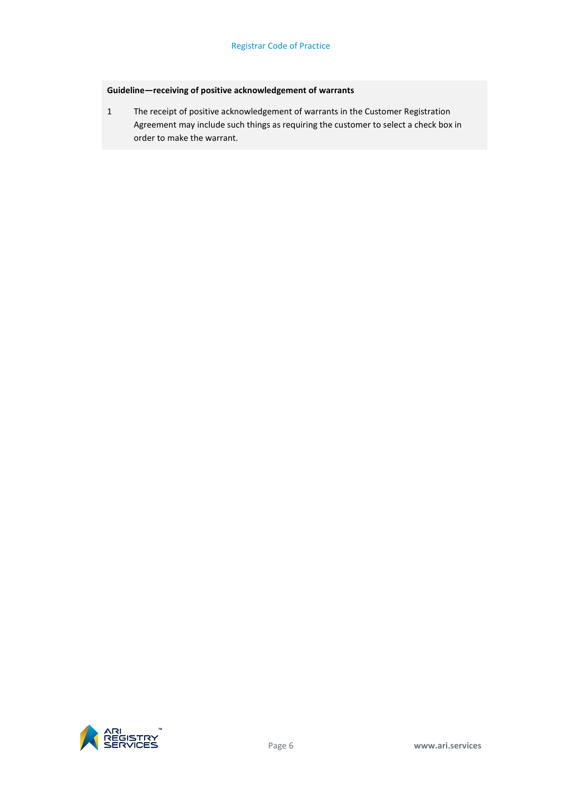## **Guideline—receiving of positive acknowledgement of warrants**

1 The receipt of positive acknowledgement of warrants in the Customer Registration Agreement may include such things as requiring the customer to select a check box in order to make the warrant.

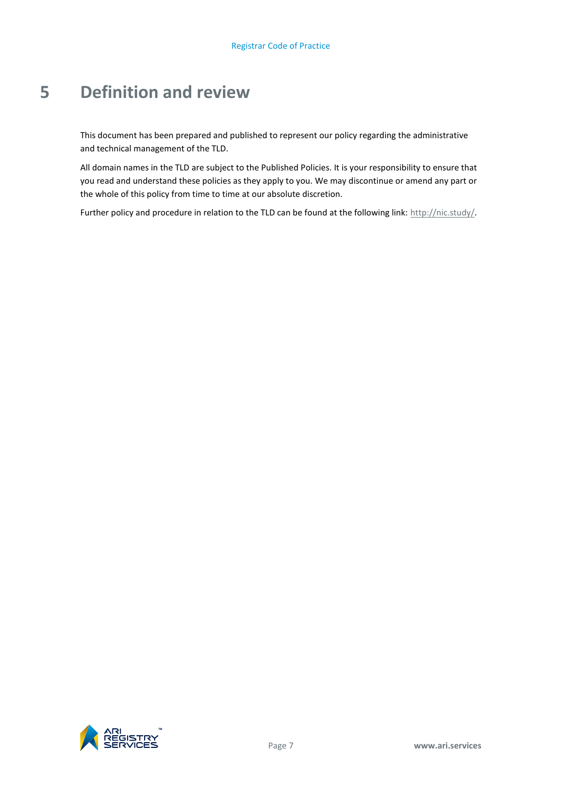# <span id="page-10-0"></span>**5 Definition and review**

This document has been prepared and published to represent our policy regarding the administrative and technical management of the TLD.

All domain names in the TLD are subject to the Published Policies. It is your responsibility to ensure that you read and understand these policies as they apply to you. We may discontinue or amend any part or the whole of this policy from time to time at our absolute discretion.

Further policy and procedure in relation to the TLD can be found at the following link[: http://nic.study/.](http://nic.study/)

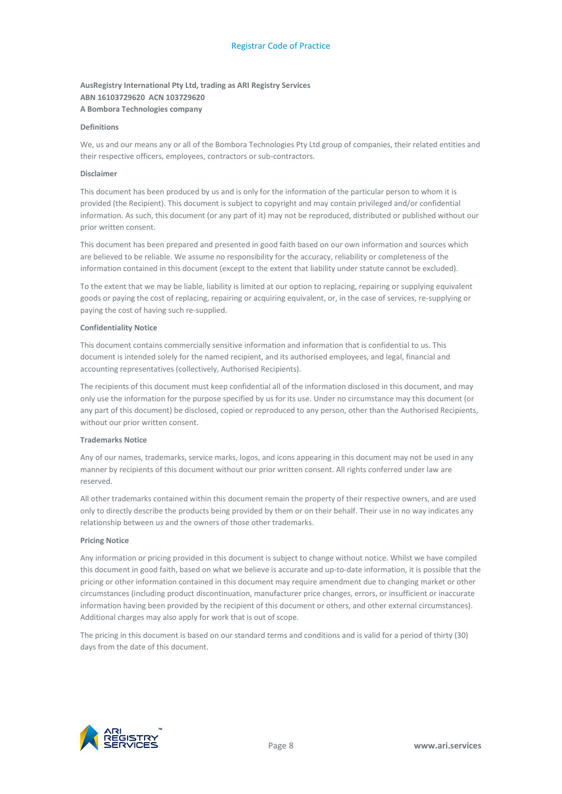### **AusRegistry International Pty Ltd, trading as ARI Registry Services ABN 16103729620 ACN 103729620 A Bombora Technologies company**

#### **Definitions**

We, us and our means any or all of the Bombora Technologies Pty Ltd group of companies, their related entities and their respective officers, employees, contractors or sub-contractors.

#### **Disclaimer**

This document has been produced by us and is only for the information of the particular person to whom it is provided (the Recipient). This document is subject to copyright and may contain privileged and/or confidential information. As such, this document (or any part of it) may not be reproduced, distributed or published without our prior written consent.

This document has been prepared and presented in good faith based on our own information and sources which are believed to be reliable. We assume no responsibility for the accuracy, reliability or completeness of the information contained in this document (except to the extent that liability under statute cannot be excluded).

To the extent that we may be liable, liability is limited at our option to replacing, repairing or supplying equivalent goods or paying the cost of replacing, repairing or acquiring equivalent, or, in the case of services, re-supplying or paying the cost of having such re-supplied.

#### **Confidentiality Notice**

This document contains commercially sensitive information and information that is confidential to us. This document is intended solely for the named recipient, and its authorised employees, and legal, financial and accounting representatives (collectively, Authorised Recipients).

The recipients of this document must keep confidential all of the information disclosed in this document, and may only use the information for the purpose specified by us for its use. Under no circumstance may this document (or any part of this document) be disclosed, copied or reproduced to any person, other than the Authorised Recipients, without our prior written consent.

#### **Trademarks Notice**

Any of our names, trademarks, service marks, logos, and icons appearing in this document may not be used in any manner by recipients of this document without our prior written consent. All rights conferred under law are reserved.

All other trademarks contained within this document remain the property of their respective owners, and are used only to directly describe the products being provided by them or on their behalf. Their use in no way indicates any relationship between us and the owners of those other trademarks.

#### **Pricing Notice**

Any information or pricing provided in this document is subject to change without notice. Whilst we have compiled this document in good faith, based on what we believe is accurate and up-to-date information, it is possible that the pricing or other information contained in this document may require amendment due to changing market or other circumstances (including product discontinuation, manufacturer price changes, errors, or insufficient or inaccurate information having been provided by the recipient of this document or others, and other external circumstances). Additional charges may also apply for work that is out of scope.

The pricing in this document is based on our standard terms and conditions and is valid for a period of thirty (30) days from the date of this document.